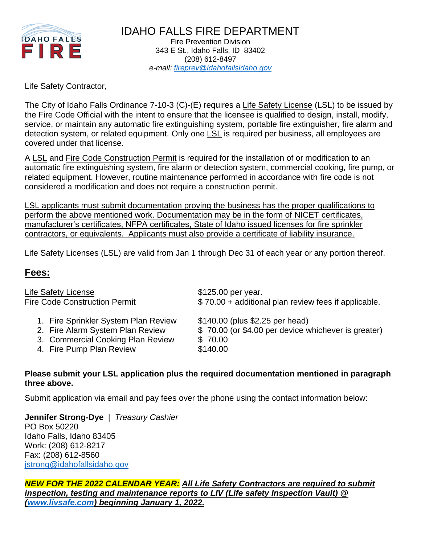

IDAHO FALLS FIRE DEPARTMENT Fire Prevention Division 343 E St., Idaho Falls, ID 83402 (208) 612-8497 *e-mail: [fireprev@idahofallsidaho.gov](mailto:fireprev@idahofallsidaho.gov)*

## Life Safety Contractor,

The City of Idaho Falls Ordinance 7-10-3 (C)-(E) requires a Life Safety License (LSL) to be issued by the Fire Code Official with the intent to ensure that the licensee is qualified to design, install, modify, service, or maintain any automatic fire extinguishing system, portable fire extinguisher, fire alarm and detection system, or related equipment. Only one LSL is required per business, all employees are covered under that license.

A LSL and Fire Code Construction Permit is required for the installation of or modification to an automatic fire extinguishing system, fire alarm or detection system, commercial cooking, fire pump, or related equipment. However, routine maintenance performed in accordance with fire code is not considered a modification and does not require a construction permit.

LSL applicants must submit documentation proving the business has the proper qualifications to perform the above mentioned work. Documentation may be in the form of NICET certificates, manufacturer's certificates, NFPA certificates, State of Idaho issued licenses for fire sprinkler contractors, or equivalents. Applicants must also provide a certificate of liability insurance.

Life Safety Licenses (LSL) are valid from Jan 1 through Dec 31 of each year or any portion thereof.

# **Fees:**

Life Safety License **\$125.00 per year.** 

Fire Code Construction Permit  $$ 70.00 + additional plan review fees if applicable.$ 

- 1. Fire Sprinkler System Plan Review \$140.00 (plus \$2.25 per head)
- 
- 3. Commercial Cooking Plan Review \$70.00
- 4. Fire Pump Plan Review \$140.00

2. Fire Alarm System Plan Review \$70.00 (or \$4.00 per device whichever is greater)

#### **Please submit your LSL application plus the required documentation mentioned in paragraph three above.**

Submit application via email and pay fees over the phone using the contact information below:

**Jennifer Strong-Dye** | *Treasury Cashier* PO Box 50220 Idaho Falls, Idaho 83405 Work: (208) 612-8217 Fax: (208) 612-8560 [jstrong@idahofallsidaho.gov](mailto:jstrong@idahofallsidaho.gov)

# *NEW FOR THE 2022 CALENDAR YEAR: All Life Safety Contractors are required to submit inspection, testing and maintenance reports to LIV (Life safety Inspection Vault) @ [\(www.livsafe.com\)](http://www.livsafe.com/) beginning January 1, 2022.*